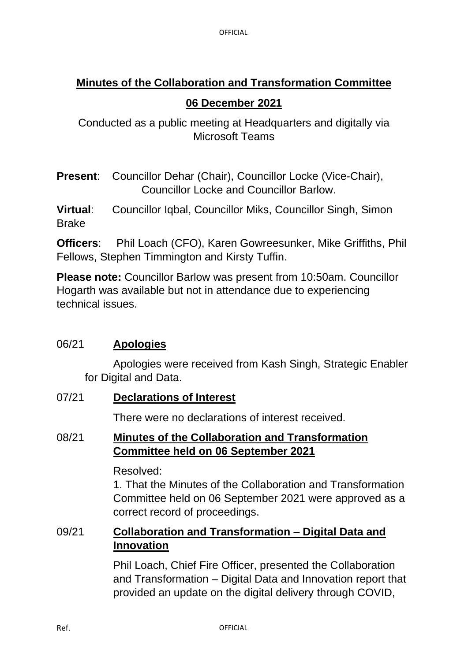# **Minutes of the Collaboration and Transformation Committee 06 December 2021**

Conducted as a public meeting at Headquarters and digitally via Microsoft Teams

**Present**: Councillor Dehar (Chair), Councillor Locke (Vice-Chair), Councillor Locke and Councillor Barlow.

**Virtual**: Councillor Iqbal, Councillor Miks, Councillor Singh, Simon Brake

**Officers**: Phil Loach (CFO), Karen Gowreesunker, Mike Griffiths, Phil Fellows, Stephen Timmington and Kirsty Tuffin.

**Please note:** Councillor Barlow was present from 10:50am. Councillor Hogarth was available but not in attendance due to experiencing technical issues.

## 06/21 **Apologies**

Apologies were received from Kash Singh, Strategic Enabler for Digital and Data.

07/21 **Declarations of Interest**

There were no declarations of interest received.

## 08/21 **Minutes of the Collaboration and Transformation Committee held on 06 September 2021**

Resolved:

1. That the Minutes of the Collaboration and Transformation Committee held on 06 September 2021 were approved as a correct record of proceedings.

## 09/21 **Collaboration and Transformation – Digital Data and Innovation**

Phil Loach, Chief Fire Officer, presented the Collaboration and Transformation – Digital Data and Innovation report that provided an update on the digital delivery through COVID,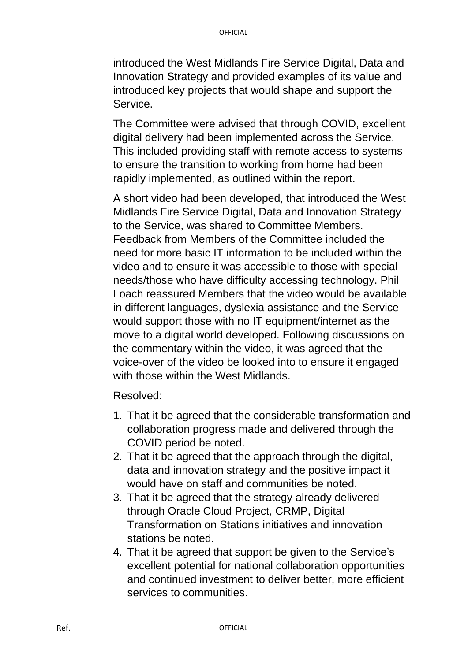introduced the West Midlands Fire Service Digital, Data and Innovation Strategy and provided examples of its value and introduced key projects that would shape and support the Service.

The Committee were advised that through COVID, excellent digital delivery had been implemented across the Service. This included providing staff with remote access to systems to ensure the transition to working from home had been rapidly implemented, as outlined within the report.

A short video had been developed, that introduced the West Midlands Fire Service Digital, Data and Innovation Strategy to the Service, was shared to Committee Members. Feedback from Members of the Committee included the need for more basic IT information to be included within the video and to ensure it was accessible to those with special needs/those who have difficulty accessing technology. Phil Loach reassured Members that the video would be available in different languages, dyslexia assistance and the Service would support those with no IT equipment/internet as the move to a digital world developed. Following discussions on the commentary within the video, it was agreed that the voice-over of the video be looked into to ensure it engaged with those within the West Midlands.

Resolved:

- 1. That it be agreed that the considerable transformation and collaboration progress made and delivered through the COVID period be noted.
- 2. That it be agreed that the approach through the digital, data and innovation strategy and the positive impact it would have on staff and communities be noted.
- 3. That it be agreed that the strategy already delivered through Oracle Cloud Project, CRMP, Digital Transformation on Stations initiatives and innovation stations be noted.
- 4. That it be agreed that support be given to the Service's excellent potential for national collaboration opportunities and continued investment to deliver better, more efficient services to communities.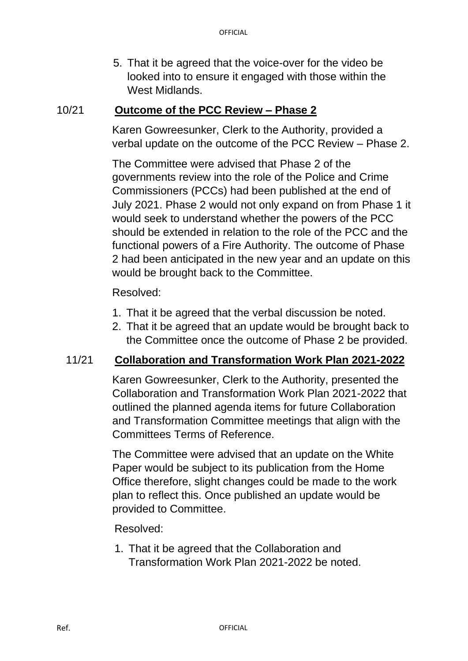5. That it be agreed that the voice-over for the video be looked into to ensure it engaged with those within the West Midlands.

#### 10/21 **Outcome of the PCC Review – Phase 2**

Karen Gowreesunker, Clerk to the Authority, provided a verbal update on the outcome of the PCC Review – Phase 2.

The Committee were advised that Phase 2 of the governments review into the role of the Police and Crime Commissioners (PCCs) had been published at the end of July 2021. Phase 2 would not only expand on from Phase 1 it would seek to understand whether the powers of the PCC should be extended in relation to the role of the PCC and the functional powers of a Fire Authority. The outcome of Phase 2 had been anticipated in the new year and an update on this would be brought back to the Committee.

#### Resolved:

- 1. That it be agreed that the verbal discussion be noted.
- 2. That it be agreed that an update would be brought back to the Committee once the outcome of Phase 2 be provided.

#### 11/21 **Collaboration and Transformation Work Plan 2021-2022**

Karen Gowreesunker, Clerk to the Authority, presented the Collaboration and Transformation Work Plan 2021-2022 that outlined the planned agenda items for future Collaboration and Transformation Committee meetings that align with the Committees Terms of Reference.

The Committee were advised that an update on the White Paper would be subject to its publication from the Home Office therefore, slight changes could be made to the work plan to reflect this. Once published an update would be provided to Committee.

Resolved:

1. That it be agreed that the Collaboration and Transformation Work Plan 2021-2022 be noted.